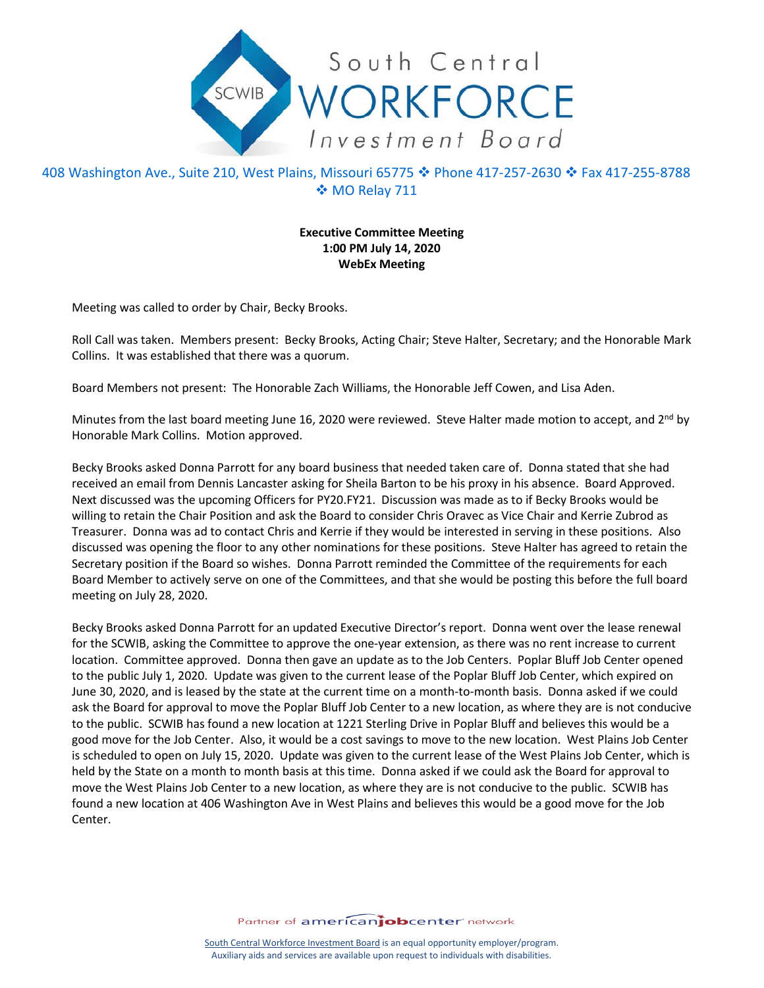

## 408 Washington Ave., Suite 210, West Plains, Missouri 65775 ❖ Phone 417-257-2630 ❖ Fax 417-255-8788 MO Relay 711

## **Executive Committee Meeting 1:00 PM July 14, 2020 WebEx Meeting**

Meeting was called to order by Chair, Becky Brooks.

Roll Call was taken. Members present: Becky Brooks, Acting Chair; Steve Halter, Secretary; and the Honorable Mark Collins. It was established that there was a quorum.

Board Members not present: The Honorable Zach Williams, the Honorable Jeff Cowen, and Lisa Aden.

Minutes from the last board meeting June 16, 2020 were reviewed. Steve Halter made motion to accept, and  $2^{nd}$  by Honorable Mark Collins. Motion approved.

Becky Brooks asked Donna Parrott for any board business that needed taken care of. Donna stated that she had received an email from Dennis Lancaster asking for Sheila Barton to be his proxy in his absence. Board Approved. Next discussed was the upcoming Officers for PY20.FY21. Discussion was made as to if Becky Brooks would be willing to retain the Chair Position and ask the Board to consider Chris Oravec as Vice Chair and Kerrie Zubrod as Treasurer. Donna was ad to contact Chris and Kerrie if they would be interested in serving in these positions. Also discussed was opening the floor to any other nominations for these positions. Steve Halter has agreed to retain the Secretary position if the Board so wishes. Donna Parrott reminded the Committee of the requirements for each Board Member to actively serve on one of the Committees, and that she would be posting this before the full board meeting on July 28, 2020.

Becky Brooks asked Donna Parrott for an updated Executive Director's report. Donna went over the lease renewal for the SCWIB, asking the Committee to approve the one-year extension, as there was no rent increase to current location. Committee approved. Donna then gave an update as to the Job Centers. Poplar Bluff Job Center opened to the public July 1, 2020. Update was given to the current lease of the Poplar Bluff Job Center, which expired on June 30, 2020, and is leased by the state at the current time on a month-to-month basis. Donna asked if we could ask the Board for approval to move the Poplar Bluff Job Center to a new location, as where they are is not conducive to the public. SCWIB has found a new location at 1221 Sterling Drive in Poplar Bluff and believes this would be a good move for the Job Center. Also, it would be a cost savings to move to the new location. West Plains Job Center is scheduled to open on July 15, 2020. Update was given to the current lease of the West Plains Job Center, which is held by the State on a month to month basis at this time. Donna asked if we could ask the Board for approval to move the West Plains Job Center to a new location, as where they are is not conducive to the public. SCWIB has found a new location at 406 Washington Ave in West Plains and believes this would be a good move for the Job Center.

Partner of americanjobcenter network